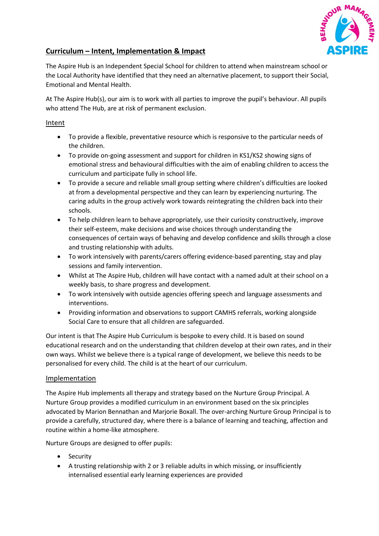

# **Curriculum – Intent, Implementation & Impact**

The Aspire Hub is an Independent Special School for children to attend when mainstream school or the Local Authority have identified that they need an alternative placement, to support their Social, Emotional and Mental Health.

At The Aspire Hub(s), our aim is to work with all parties to improve the pupil's behaviour. All pupils who attend The Hub, are at risk of permanent exclusion.

## Intent

- To provide a flexible, preventative resource which is responsive to the particular needs of the children.
- To provide on-going assessment and support for children in KS1/KS2 showing signs of emotional stress and behavioural difficulties with the aim of enabling children to access the curriculum and participate fully in school life.
- To provide a secure and reliable small group setting where children's difficulties are looked at from a developmental perspective and they can learn by experiencing nurturing. The caring adults in the group actively work towards reintegrating the children back into their schools.
- To help children learn to behave appropriately, use their curiosity constructively, improve their self-esteem, make decisions and wise choices through understanding the consequences of certain ways of behaving and develop confidence and skills through a close and trusting relationship with adults.
- To work intensively with parents/carers offering evidence-based parenting, stay and play sessions and family intervention.
- Whilst at The Aspire Hub, children will have contact with a named adult at their school on a weekly basis, to share progress and development.
- To work intensively with outside agencies offering speech and language assessments and interventions.
- Providing information and observations to support CAMHS referrals, working alongside Social Care to ensure that all children are safeguarded.

Our intent is that The Aspire Hub Curriculum is bespoke to every child. It is based on sound educational research and on the understanding that children develop at their own rates, and in their own ways. Whilst we believe there is a typical range of development, we believe this needs to be personalised for every child. The child is at the heart of our curriculum.

#### Implementation

The Aspire Hub implements all therapy and strategy based on the Nurture Group Principal. A Nurture Group provides a modified curriculum in an environment based on the six principles advocated by Marion Bennathan and Marjorie Boxall. The over-arching Nurture Group Principal is to provide a carefully, structured day, where there is a balance of learning and teaching, affection and routine within a home-like atmosphere.

Nurture Groups are designed to offer pupils:

- Security
- A trusting relationship with 2 or 3 reliable adults in which missing, or insufficiently internalised essential early learning experiences are provided